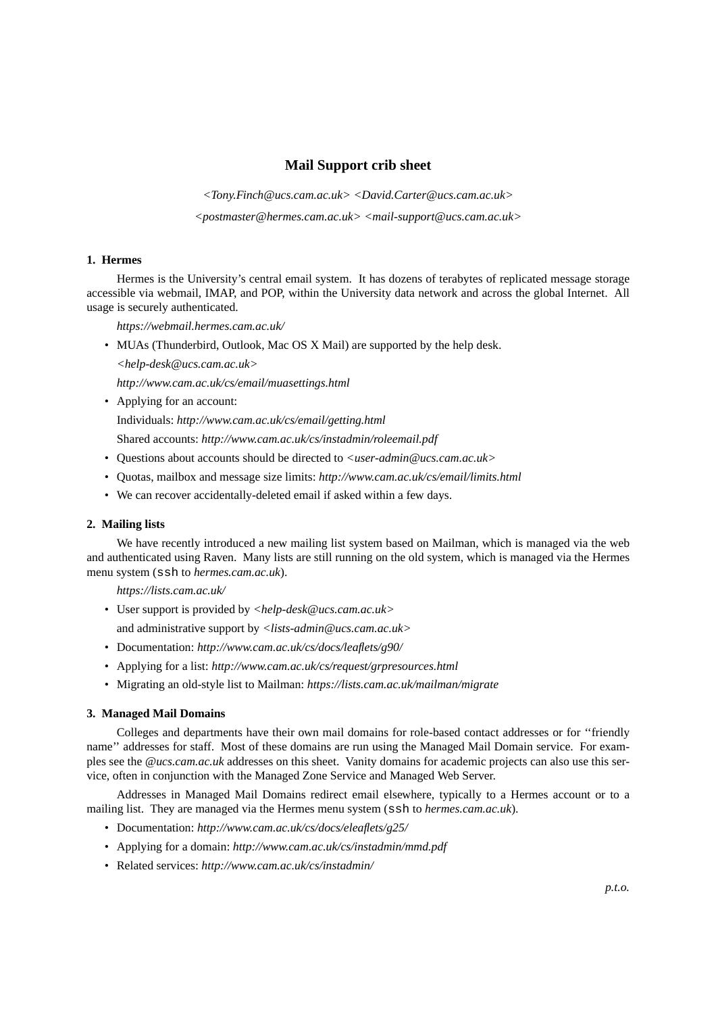# **Mail Support crib sheet**

*<Tony.Finch@ucs.cam.ac.uk> <David.Carter@ucs.cam.ac.uk> <postmaster@hermes.cam.ac.uk> <mail-support@ucs.cam.ac.uk>*

#### **1. Hermes**

Hermes is the University's central email system. It has dozens of terabytes of replicated message storage accessible via webmail, IMAP, and POP, within the University data network and across the global Internet. All usage is securely authenticated.

*https://webmail.hermes.cam.ac.uk/*

• MUAs (Thunderbird, Outlook, Mac OS X Mail) are supported by the help desk.

*<help-desk@ucs.cam.ac.uk>*

*http://www.cam.ac.uk/cs/email/muasettings.html*

• Applying for an account:

Individuals: *http://www.cam.ac.uk/cs/email/getting.html*

Shared accounts: *http://www.cam.ac.uk/cs/instadmin/roleemail.pdf*

- Questions about accounts should be directed to *<user-admin@ucs.cam.ac.uk>*
- Quotas, mailbox and message size limits: *http://www.cam.ac.uk/cs/email/limits.html*
- We can recover accidentally-deleted email if asked within a few days.

### **2. Mailing lists**

We have recently introduced a new mailing list system based on Mailman, which is managed via the web and authenticated using Raven. Many lists are still running on the old system, which is managed via the Hermes menu system (ssh to *hermes.cam.ac.uk*).

*https://lists.cam.ac.uk/*

- User support is provided by *<help-desk@ucs.cam.ac.uk>*
- and administrative support by *<lists-admin@ucs.cam.ac.uk>*
- Documentation: *http://www.cam.ac.uk/cs/docs/leaflets/g90/*
- Applying for a list: *http://www.cam.ac.uk/cs/request/grpresources.html*
- Migrating an old-style list to Mailman: *https://lists.cam.ac.uk/mailman/migrate*

#### **3. Managed Mail Domains**

Colleges and departments have their own mail domains for role-based contact addresses or for ''friendly name'' addresses for staff. Most of these domains are run using the Managed Mail Domain service. For examples see the *@ucs.cam.ac.uk* addresses on this sheet. Vanity domains for academic projects can also use this service, often in conjunction with the Managed Zone Service and Managed Web Server.

Addresses in Managed Mail Domains redirect email elsewhere, typically to a Hermes account or to a mailing list. They are managed via the Hermes menu system (ssh to *hermes.cam.ac.uk*).

- Documentation: *http://www.cam.ac.uk/cs/docs/eleaflets/g25/*
- Applying for a domain: *http://www.cam.ac.uk/cs/instadmin/mmd.pdf*
- Related services: *http://www.cam.ac.uk/cs/instadmin/*